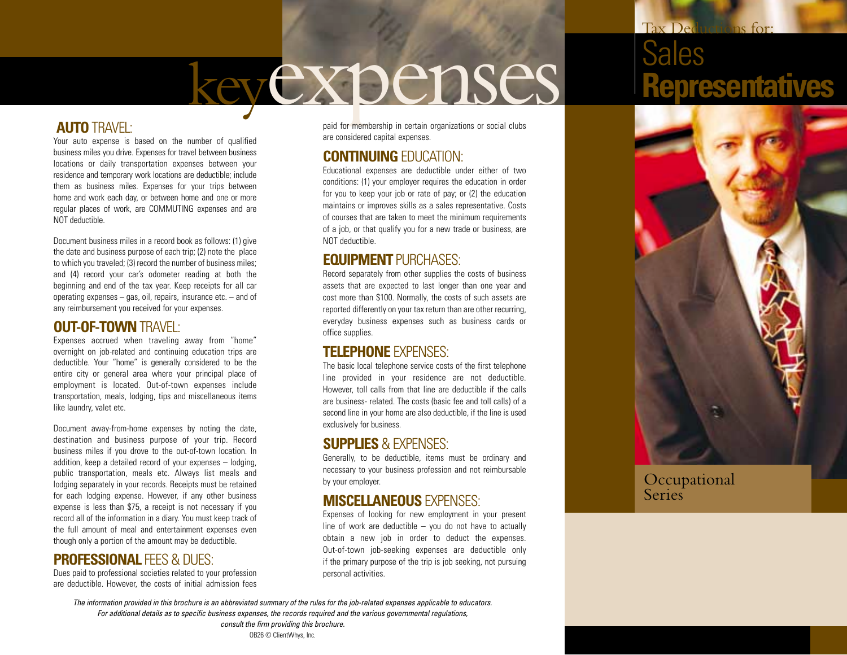# keyexpenses

### **AUTO** TRAVEL:

Your auto expense is based on the number of qualified business miles you drive. Expenses for travel between business locations or daily transportation expenses between your residence and temporary work locations are deductible; include them as business miles. Expenses for your trips between home and work each day, or between home and one or more regular places of work, are COMMUTING expenses and are NOT deductible.

Document business miles in a record book as follows: (1) give the date and business purpose of each trip; (2) note the place to which you traveled; (3) record the number of business miles; and (4) record your car's odometer reading at both the beginning and end of the tax year. Keep receipts for all car operating expenses – gas, oil, repairs, insurance etc. – and of any reimbursement you received for your expenses.

### **OUT-OF-TOWN** TRAVEL:

Expenses accrued when traveling away from "home" overnight on job-related and continuing education trips are deductible. Your "home" is generally considered to be the entire city or general area where your principal place of employment is located. Out-of-town expenses include transportation, meals, lodging, tips and miscellaneous items like laundry, valet etc.

Document away-from-home expenses by noting the date, destination and business purpose of your trip. Record business miles if you drove to the out-of-town location. In addition, keep a detailed record of your expenses – lodging, public transportation, meals etc. Always list meals and lodging separately in your records. Receipts must be retained for each lodging expense. However, if any other business expense is less than \$75, a receipt is not necessary if you record all of the information in a diary. You must keep track of the full amount of meal and entertainment expenses even though only a portion of the amount may be deductible.

### **PROFESSIONAL FEES & DUES:**

Dues paid to professional societies related to your profession are deductible. However, the costs of initial admission fees paid for membership in certain organizations or social clubs are considered capital expenses.

### **CONTINUING** EDUCATION:

Educational expenses are deductible under either of two conditions: (1) your employer requires the education in order for you to keep your job or rate of pay; or (2) the education maintains or improves skills as a sales representative. Costs of courses that are taken to meet the minimum requirements of a job, or that qualify you for a new trade or business, are NOT deductible.

### **EQUIPMENT** PURCHASES:

Record separately from other supplies the costs of business assets that are expected to last longer than one year and cost more than \$100. Normally, the costs of such assets are reported differently on your tax return than are other recurring, everyday business expenses such as business cards or office supplies.

### **TELEPHONE** EXPENSES:

The basic local telephone service costs of the first telephone line provided in your residence are not deductible. However, toll calls from that line are deductible if the calls are business- related. The costs (basic fee and toll calls) of a second line in your home are also deductible, if the line is used exclusively for business.

#### **SUPPLIES** & EXPENSES:

Generally, to be deductible, items must be ordinary and necessary to your business profession and not reimbursable by your employer.

### **MISCELLANEOUS** EXPENSES:

Expenses of looking for new employment in your present line of work are deductible  $-$  you do not have to actually obtain a new job in order to deduct the expenses. Out-of-town job-seeking expenses are deductible only if the primary purpose of the trip is job seeking, not pursuing personal activities.

# Tax Deductions for: Sales **Representatives**



Occupational **Series** 

*The information provided in this brochure is an abbreviated summary of the rules for the job-related expenses applicable to educators. For additional details as to specific business expenses, the records required and the various governmental regulations, consult the firm providing this brochure.*

OB26 © ClientWhys, Inc.